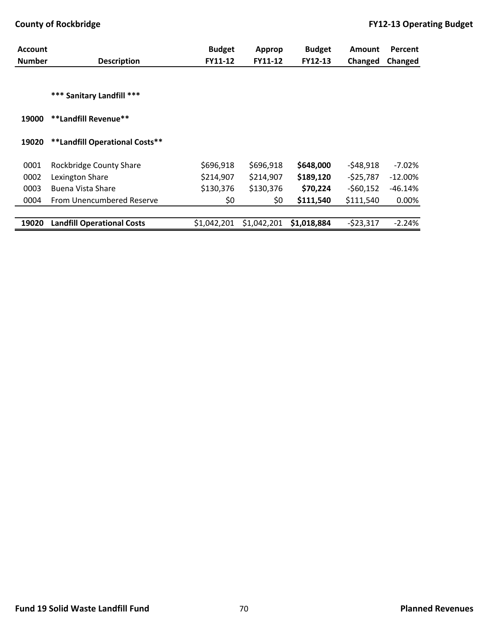| <b>Account</b><br><b>Number</b> | <b>Description</b>                | <b>Budget</b><br>FY11-12 | Approp<br>FY11-12 | <b>Budget</b><br>FY12-13 | <b>Amount</b><br>Changed | Percent<br>Changed |
|---------------------------------|-----------------------------------|--------------------------|-------------------|--------------------------|--------------------------|--------------------|
|                                 |                                   |                          |                   |                          |                          |                    |
|                                 | *** Sanitary Landfill ***         |                          |                   |                          |                          |                    |
| 19000                           | **Landfill Revenue**              |                          |                   |                          |                          |                    |
| 19020                           | **Landfill Operational Costs**    |                          |                   |                          |                          |                    |
| 0001                            | Rockbridge County Share           | \$696,918                | \$696,918         | \$648,000                | $-548,918$               | $-7.02%$           |
| 0002                            | Lexington Share                   | \$214,907                | \$214,907         | \$189,120                | $-525,787$               | $-12.00\%$         |
| 0003                            | Buena Vista Share                 | \$130,376                | \$130,376         | \$70,224                 | $-560,152$               | $-46.14%$          |
| 0004                            | From Unencumbered Reserve         | \$0                      | \$0               | \$111,540                | \$111,540                | 0.00%              |
|                                 |                                   |                          |                   |                          |                          |                    |
| 19020                           | <b>Landfill Operational Costs</b> | \$1,042,201              | \$1,042,201       | \$1,018,884              | $-523,317$               | $-2.24%$           |